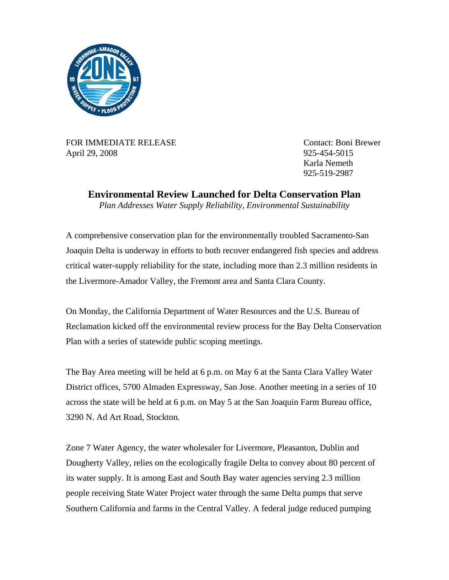

FOR IMMEDIATE RELEASE CONTACT: Boni Brewer April 29, 2008 925-454-5015

 Karla Nemeth 925-519-2987

**Environmental Review Launched for Delta Conservation Plan** 

*Plan Addresses Water Supply Reliability, Environmental Sustainability* 

A comprehensive conservation plan for the environmentally troubled Sacramento-San Joaquin Delta is underway in efforts to both recover endangered fish species and address critical water-supply reliability for the state, including more than 2.3 million residents in the Livermore-Amador Valley, the Fremont area and Santa Clara County.

On Monday, the California Department of Water Resources and the U.S. Bureau of Reclamation kicked off the environmental review process for the Bay Delta Conservation Plan with a series of statewide public scoping meetings.

The Bay Area meeting will be held at 6 p.m. on May 6 at the Santa Clara Valley Water District offices, 5700 Almaden Expressway, San Jose. Another meeting in a series of 10 across the state will be held at 6 p.m. on May 5 at the San Joaquin Farm Bureau office, 3290 N. Ad Art Road, Stockton.

Zone 7 Water Agency, the water wholesaler for Livermore, Pleasanton, Dublin and Dougherty Valley, relies on the ecologically fragile Delta to convey about 80 percent of its water supply. It is among East and South Bay water agencies serving 2.3 million people receiving State Water Project water through the same Delta pumps that serve Southern California and farms in the Central Valley. A federal judge reduced pumping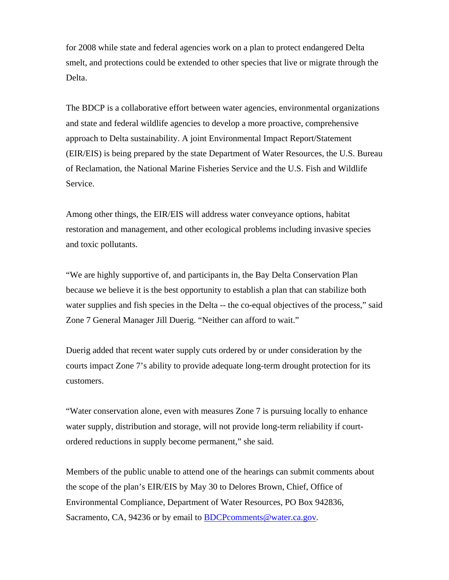for 2008 while state and federal agencies work on a plan to protect endangered Delta smelt, and protections could be extended to other species that live or migrate through the Delta.

The BDCP is a collaborative effort between water agencies, environmental organizations and state and federal wildlife agencies to develop a more proactive, comprehensive approach to Delta sustainability. A joint Environmental Impact Report/Statement (EIR/EIS) is being prepared by the state Department of Water Resources, the U.S. Bureau of Reclamation, the National Marine Fisheries Service and the U.S. Fish and Wildlife Service.

Among other things, the EIR/EIS will address water conveyance options, habitat restoration and management, and other ecological problems including invasive species and toxic pollutants.

"We are highly supportive of, and participants in, the Bay Delta Conservation Plan because we believe it is the best opportunity to establish a plan that can stabilize both water supplies and fish species in the Delta -- the co-equal objectives of the process," said Zone 7 General Manager Jill Duerig. "Neither can afford to wait."

Duerig added that recent water supply cuts ordered by or under consideration by the courts impact Zone 7's ability to provide adequate long-term drought protection for its customers.

"Water conservation alone, even with measures Zone 7 is pursuing locally to enhance water supply, distribution and storage, will not provide long-term reliability if courtordered reductions in supply become permanent," she said.

Members of the public unable to attend one of the hearings can submit comments about the scope of the plan's EIR/EIS by May 30 to Delores Brown, Chief, Office of Environmental Compliance, Department of Water Resources, PO Box 942836, Sacramento, CA, 94236 or by email to **BDCP**comments@water.ca.gov.